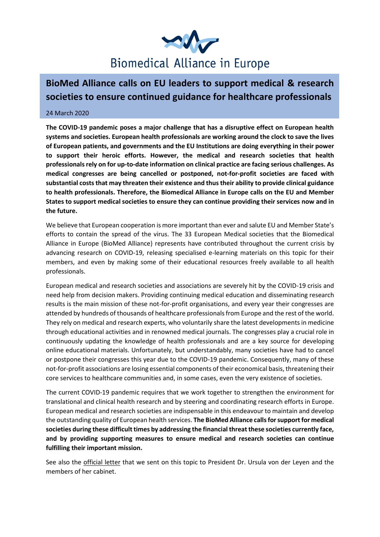

## **BioMed Alliance calls on EU leaders to support medical & research societies to ensure continued guidance for healthcare professionals**

## 24 March 2020

**The COVID-19 pandemic poses a major challenge that has a disruptive effect on European health systems and societies. European health professionals are working around the clock to save the lives of European patients, and governments and the EU Institutions are doing everything in their power to support their heroic efforts. However, the medical and research societies that health professionals rely on for up-to-date information on clinical practice are facing serious challenges. As medical congresses are being cancelled or postponed, not-for-profit societies are faced with substantial costs that may threaten their existence and thus their ability to provide clinical guidance to health professionals. Therefore, the Biomedical Alliance in Europe calls on the EU and Member States to support medical societies to ensure they can continue providing their services now and in the future.**

We believe that European cooperation is more important than ever and salute EU and Member State's efforts to contain the spread of the virus. The 33 European Medical societies that the Biomedical Alliance in Europe (BioMed Alliance) represents have contributed throughout the current crisis by advancing research on COVID-19, releasing specialised e-learning materials on this topic for their members, and even by making some of their educational resources freely available to all health professionals.

European medical and research societies and associations are severely hit by the COVID-19 crisis and need help from decision makers. Providing continuing medical education and disseminating research results is the main mission of these not-for-profit organisations, and every year their congresses are attended by hundreds of thousands of healthcare professionals from Europe and the rest of the world. They rely on medical and research experts, who voluntarily share the latest developments in medicine through educational activities and in renowned medical journals. The congresses play a crucial role in continuously updating the knowledge of health professionals and are a key source for developing online educational materials. Unfortunately, but understandably, many societies have had to cancel or postpone their congresses this year due to the COVID-19 pandemic. Consequently, many of these not-for-profit associations are losing essential components of their economical basis, threatening their core services to healthcare communities and, in some cases, even the very existence of societies.

The current COVID-19 pandemic requires that we work together to strengthen the environment for translational and clinical health research and by steering and coordinating research efforts in Europe. European medical and research societies are indispensable in this endeavour to maintain and develop the outstanding quality of European health services. **The BioMed Alliance calls for support for medical societies during these difficult times by addressing the financial threat these societies currently face, and by providing supporting measures to ensure medical and research societies can continue fulfilling their important mission.**

See also the official letter that we sent on this topic to President Dr. Ursula von der Leyen and the members of her cabinet.